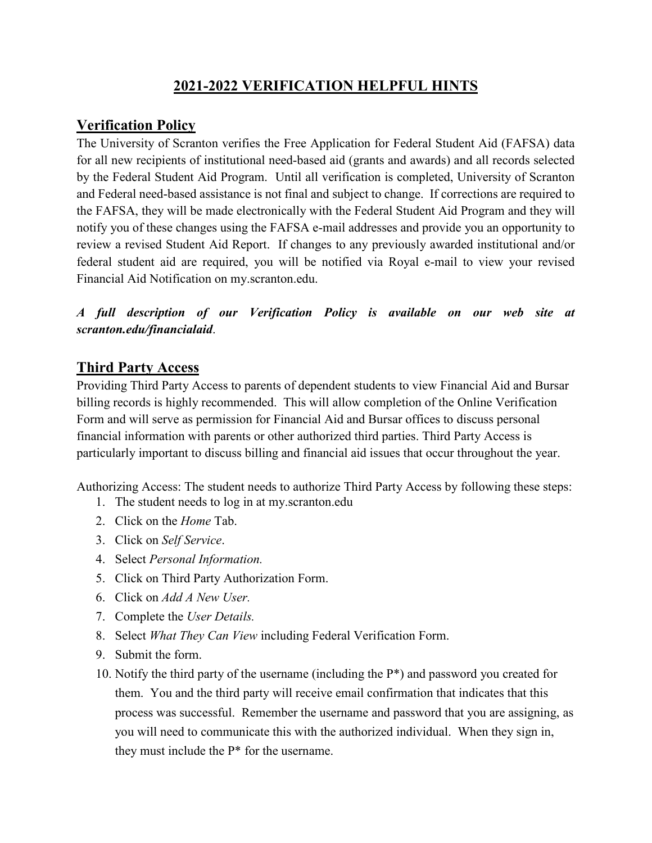# **2021-2022 VERIFICATION HELPFUL HINTS**

## **Verification Policy**

The University of Scranton verifies the Free Application for Federal Student Aid (FAFSA) data for all new recipients of institutional need-based aid (grants and awards) and all records selected by the Federal Student Aid Program. Until all verification is completed, University of Scranton and Federal need-based assistance is not final and subject to change. If corrections are required to the FAFSA, they will be made electronically with the Federal Student Aid Program and they will notify you of these changes using the FAFSA e-mail addresses and provide you an opportunity to review a revised Student Aid Report. If changes to any previously awarded institutional and/or federal student aid are required, you will be notified via Royal e-mail to view your revised Financial Aid Notification on my.scranton.edu.

*A full description of our Verification Policy is available on our web site at scranton.edu/financialaid*.

#### **Third Party Access**

Providing Third Party Access to parents of dependent students to view Financial Aid and Bursar billing records is highly recommended. This will allow completion of the Online Verification Form and will serve as permission for Financial Aid and Bursar offices to discuss personal financial information with parents or other authorized third parties. Third Party Access is particularly important to discuss billing and financial aid issues that occur throughout the year.

Authorizing Access: The student needs to authorize Third Party Access by following these steps:

- 1. The student needs to log in at my.scranton.edu
- 2. Click on the *Home* Tab.
- 3. Click on *Self Service*.
- 4. Select *Personal Information.*
- 5. Click on Third Party Authorization Form.
- 6. Click on *Add A New User.*
- 7. Complete the *User Details.*
- 8. Select *What They Can View* including Federal Verification Form.
- 9. Submit the form.
- 10. Notify the third party of the username (including the P\*) and password you created for them. You and the third party will receive email confirmation that indicates that this process was successful. Remember the username and password that you are assigning, as you will need to communicate this with the authorized individual. When they sign in, they must include the P\* for the username.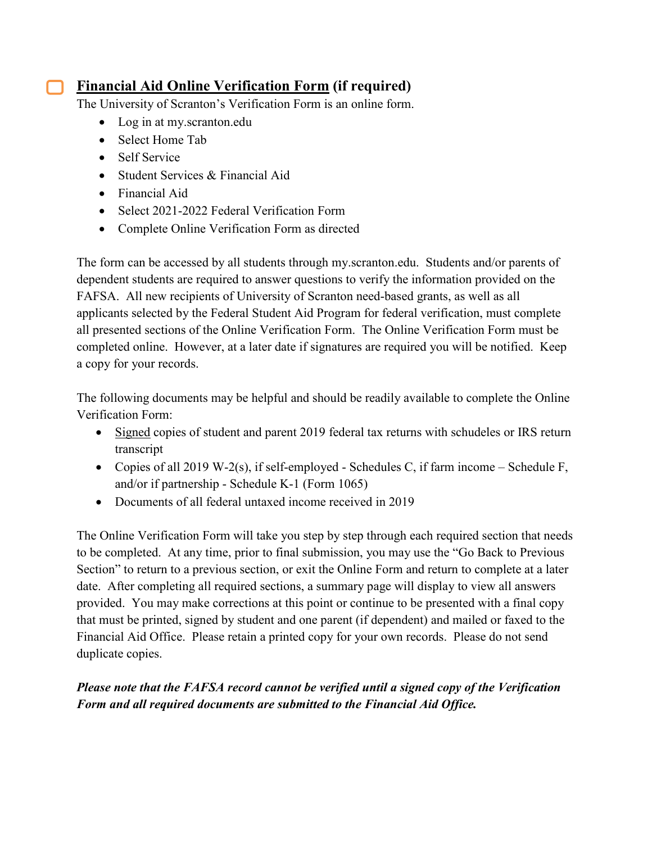# **Financial Aid Online Verification Form (if required)**

The University of Scranton's Verification Form is an online form.

- Log in at my.scranton.edu
- Select Home Tab
- Self Service
- Student Services & Financial Aid
- Financial Aid
- Select 2021-2022 Federal Verification Form
- Complete Online Verification Form as directed

The form can be accessed by all students through my.scranton.edu. Students and/or parents of dependent students are required to answer questions to verify the information provided on the FAFSA. All new recipients of University of Scranton need-based grants, as well as all applicants selected by the Federal Student Aid Program for federal verification, must complete all presented sections of the Online Verification Form. The Online Verification Form must be completed online. However, at a later date if signatures are required you will be notified. Keep a copy for your records.

The following documents may be helpful and should be readily available to complete the Online Verification Form:

- Signed copies of student and parent 2019 federal tax returns with schudeles or IRS return transcript
- Copies of all 2019 W-2(s), if self-employed Schedules C, if farm income Schedule F, and/or if partnership - Schedule K-1 (Form 1065)
- Documents of all federal untaxed income received in 2019

The Online Verification Form will take you step by step through each required section that needs to be completed. At any time, prior to final submission, you may use the "Go Back to Previous Section" to return to a previous section, or exit the Online Form and return to complete at a later date. After completing all required sections, a summary page will display to view all answers provided. You may make corrections at this point or continue to be presented with a final copy that must be printed, signed by student and one parent (if dependent) and mailed or faxed to the Financial Aid Office. Please retain a printed copy for your own records. Please do not send duplicate copies.

#### *Please note that the FAFSA record cannot be verified until a signed copy of the Verification Form and all required documents are submitted to the Financial Aid Office.*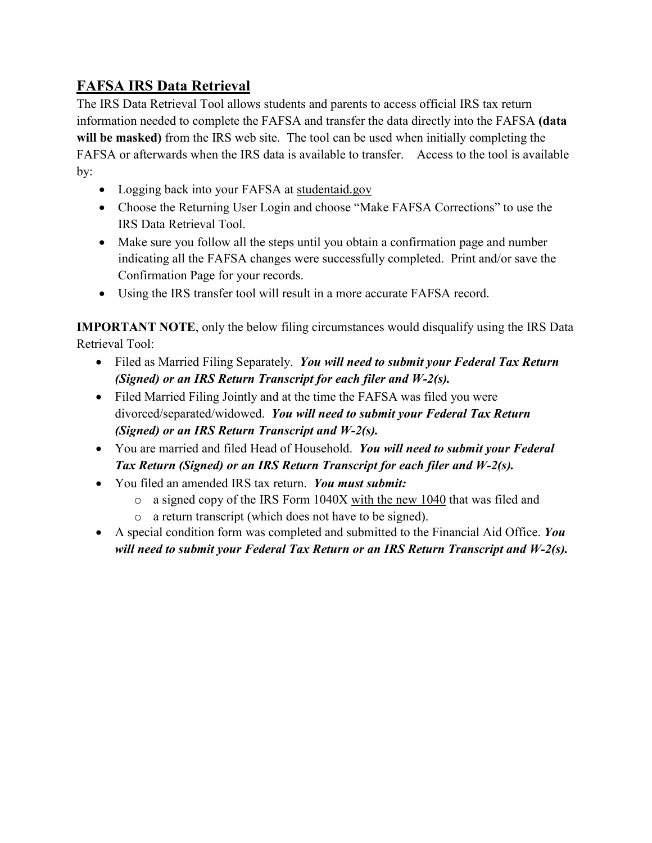# **FAFSA IRS Data Retrieval**

The IRS Data Retrieval Tool allows students and parents to access official IRS tax return information needed to complete the FAFSA and transfer the data directly into the FAFSA **(data will be masked)** from the IRS web site. The tool can be used when initially completing the FAFSA or afterwards when the IRS data is available to transfer. Access to the tool is available by:

- Logging back into your FAFSA at studentaid.gov
- Choose the Returning User Login and choose "Make FAFSA Corrections" to use the IRS Data Retrieval Tool.
- Make sure you follow all the steps until you obtain a confirmation page and number indicating all the FAFSA changes were successfully completed. Print and/or save the Confirmation Page for your records.
- Using the IRS transfer tool will result in a more accurate FAFSA record.

**IMPORTANT NOTE**, only the below filing circumstances would disqualify using the IRS Data Retrieval Tool:

- Filed as Married Filing Separately. *You will need to submit your Federal Tax Return (Signed) or an IRS Return Transcript for each filer and W-2(s).*
- Filed Married Filing Jointly and at the time the FAFSA was filed you were divorced/separated/widowed. *You will need to submit your Federal Tax Return (Signed) or an IRS Return Transcript and W-2(s).*
- You are married and filed Head of Household. *You will need to submit your Federal Tax Return (Signed) or an IRS Return Transcript for each filer and W-2(s).*
- You filed an amended IRS tax return. *You must submit:*
	- o a signed copy of the IRS Form 1040X with the new 1040 that was filed and
	- o a return transcript (which does not have to be signed).
- A special condition form was completed and submitted to the Financial Aid Office. *You will need to submit your Federal Tax Return or an IRS Return Transcript and W-2(s).*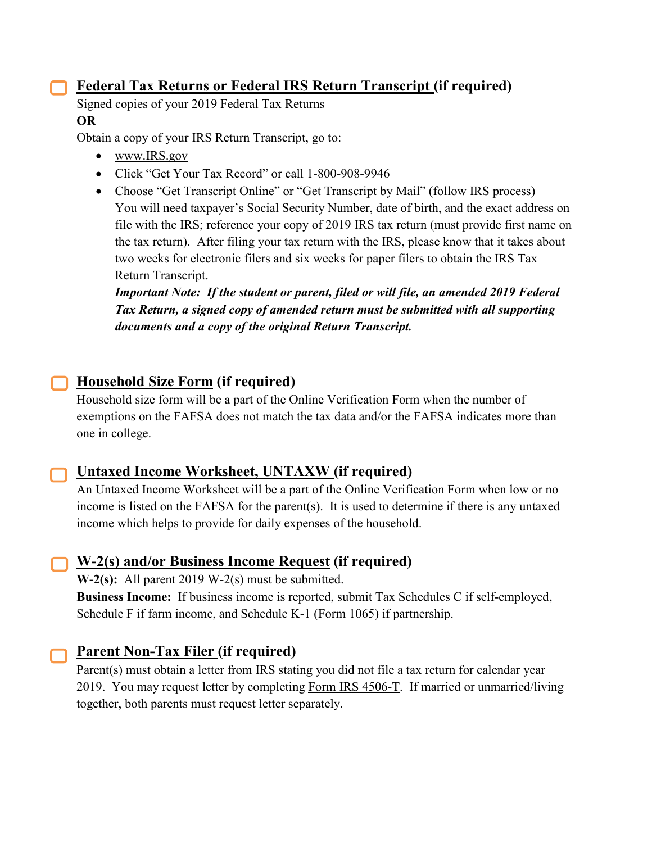### **Federal Tax Returns or Federal IRS Return Transcript (if required)**

Signed copies of your 2019 Federal Tax Returns **OR**

Obtain a copy of your IRS Return Transcript, go to:

- [www.IRS.gov](http://www.irs.gov/)
- Click "Get Your Tax Record" or call 1-800-908-9946
- Choose "Get Transcript Online" or "Get Transcript by Mail" (follow IRS process) You will need taxpayer's Social Security Number, date of birth, and the exact address on file with the IRS; reference your copy of 2019 IRS tax return (must provide first name on the tax return). After filing your tax return with the IRS, please know that it takes about two weeks for electronic filers and six weeks for paper filers to obtain the IRS Tax Return Transcript.

*Important Note: If the student or parent, filed or will file, an amended 2019 Federal Tax Return, a signed copy of amended return must be submitted with all supporting documents and a copy of the original Return Transcript.*

# **Household Size Form (if required)**

Household size form will be a part of the Online Verification Form when the number of exemptions on the FAFSA does not match the tax data and/or the FAFSA indicates more than one in college.



# **Untaxed Income Worksheet, UNTAXW (if required)**

An Untaxed Income Worksheet will be a part of the Online Verification Form when low or no income is listed on the FAFSA for the parent(s). It is used to determine if there is any untaxed income which helps to provide for daily expenses of the household.

# **W-2(s) and/or Business Income Request (if required)**

**W-2(s):** All parent 2019 W-2(s) must be submitted.

**Business Income:** If business income is reported, submit Tax Schedules C if self-employed, Schedule F if farm income, and Schedule K-1 (Form 1065) if partnership.

# **Parent Non-Tax Filer (if required)**

Parent(s) must obtain a letter from IRS stating you did not file a tax return for calendar year 2019. You may request letter by completing [Form IRS 4506-T.](https://www.irs.gov/pub/irs-pdf/f4506t.pdf) If married or unmarried/living together, both parents must request letter separately.